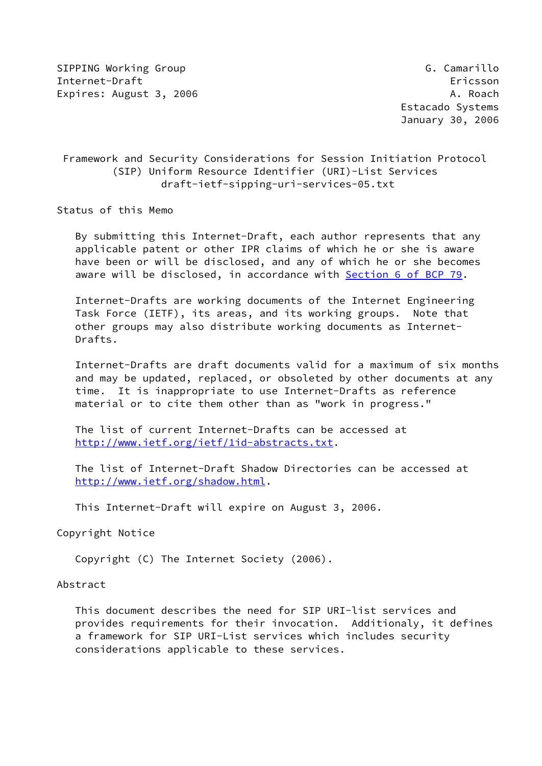SIPPING Working Group Group G. Camarillo Internet-Draft Ericsson Expires: August 3, 2006 A. Roach A. Roach

# Framework and Security Considerations for Session Initiation Protocol (SIP) Uniform Resource Identifier (URI)-List Services draft-ietf-sipping-uri-services-05.txt

Status of this Memo

 By submitting this Internet-Draft, each author represents that any applicable patent or other IPR claims of which he or she is aware have been or will be disclosed, and any of which he or she becomes aware will be disclosed, in accordance with Section [6 of BCP 79.](https://datatracker.ietf.org/doc/pdf/bcp79#section-6)

 Internet-Drafts are working documents of the Internet Engineering Task Force (IETF), its areas, and its working groups. Note that other groups may also distribute working documents as Internet- Drafts.

 Internet-Drafts are draft documents valid for a maximum of six months and may be updated, replaced, or obsoleted by other documents at any time. It is inappropriate to use Internet-Drafts as reference material or to cite them other than as "work in progress."

 The list of current Internet-Drafts can be accessed at <http://www.ietf.org/ietf/1id-abstracts.txt>.

 The list of Internet-Draft Shadow Directories can be accessed at <http://www.ietf.org/shadow.html>.

This Internet-Draft will expire on August 3, 2006.

Copyright Notice

Copyright (C) The Internet Society (2006).

## Abstract

 This document describes the need for SIP URI-list services and provides requirements for their invocation. Additionaly, it defines a framework for SIP URI-List services which includes security considerations applicable to these services.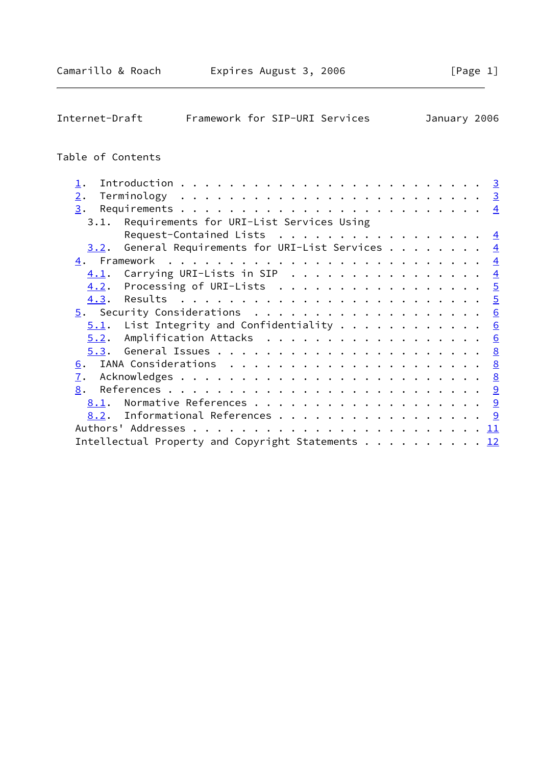| Internet-Draft             | Framework for SIP-URI Services                    |  | January 2006 |  |                  |
|----------------------------|---------------------------------------------------|--|--------------|--|------------------|
| Table of Contents          |                                                   |  |              |  |                  |
| $\mathbf{\underline{1}}$ . |                                                   |  |              |  | $\overline{3}$   |
| 2.                         |                                                   |  |              |  | $\overline{3}$   |
| 3.                         |                                                   |  |              |  | $\overline{4}$   |
| 3.1.                       | Requirements for URI-List Services Using          |  |              |  |                  |
|                            | Request-Contained Lists                           |  |              |  | $\overline{4}$   |
| 3.2.                       | General Requirements for URI-List Services        |  |              |  | $\overline{4}$   |
|                            |                                                   |  |              |  | $\overline{4}$   |
| 4.1.                       | Carrying URI-Lists in SIP                         |  |              |  | $\overline{4}$   |
| 4.2.                       | Processing of URI-Lists                           |  |              |  | $\frac{5}{2}$    |
| 4.3.                       |                                                   |  |              |  | $\overline{5}$   |
|                            |                                                   |  |              |  | $\underline{6}$  |
| 5.1.                       | List Integrity and Confidentiality $\dots$        |  |              |  | $6 \overline{6}$ |
| 5.2.                       | Amplification Attacks                             |  |              |  | 6                |
| 5.3.                       |                                                   |  |              |  | 8                |
| 6.                         |                                                   |  |              |  | 8                |
| $\mathbf{I}$ .             |                                                   |  |              |  |                  |
| 8.                         |                                                   |  |              |  |                  |
| 8.1.                       |                                                   |  |              |  |                  |
| 8.2.                       | Informational References 9                        |  |              |  |                  |
|                            |                                                   |  |              |  |                  |
|                            | Intellectual Property and Copyright Statements 12 |  |              |  |                  |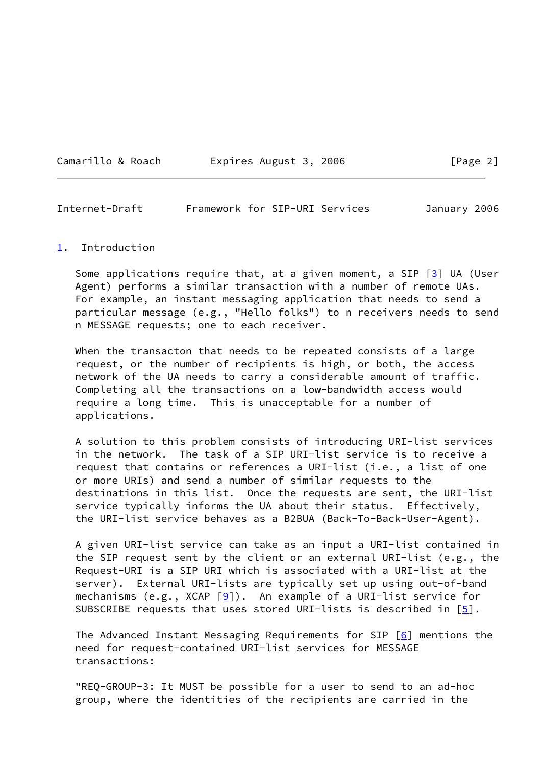|  | Camarillo & Roach |  |  |  |  |
|--|-------------------|--|--|--|--|
|--|-------------------|--|--|--|--|

Expires August 3, 2006 [Page 2]

<span id="page-2-1"></span>Internet-Draft Framework for SIP-URI Services January 2006

#### <span id="page-2-0"></span>[1](#page-2-0). Introduction

Some applications require that, at a given moment, a SIP  $[3]$  UA (User Agent) performs a similar transaction with a number of remote UAs. For example, an instant messaging application that needs to send a particular message (e.g., "Hello folks") to n receivers needs to send n MESSAGE requests; one to each receiver.

When the transacton that needs to be repeated consists of a large request, or the number of recipients is high, or both, the access network of the UA needs to carry a considerable amount of traffic. Completing all the transactions on a low-bandwidth access would require a long time. This is unacceptable for a number of applications.

 A solution to this problem consists of introducing URI-list services in the network. The task of a SIP URI-list service is to receive a request that contains or references a URI-list (i.e., a list of one or more URIs) and send a number of similar requests to the destinations in this list. Once the requests are sent, the URI-list service typically informs the UA about their status. Effectively, the URI-list service behaves as a B2BUA (Back-To-Back-User-Agent).

 A given URI-list service can take as an input a URI-list contained in the SIP request sent by the client or an external URI-list (e.g., the Request-URI is a SIP URI which is associated with a URI-list at the server). External URI-lists are typically set up using out-of-band mechanisms (e.g., XCAP  $[9]$  $[9]$ ). An example of a URI-list service for SUBSCRIBE requests that uses stored URI-lists is described in  $[5]$  $[5]$ .

 The Advanced Instant Messaging Requirements for SIP [\[6](#page-9-7)] mentions the need for request-contained URI-list services for MESSAGE transactions:

 "REQ-GROUP-3: It MUST be possible for a user to send to an ad-hoc group, where the identities of the recipients are carried in the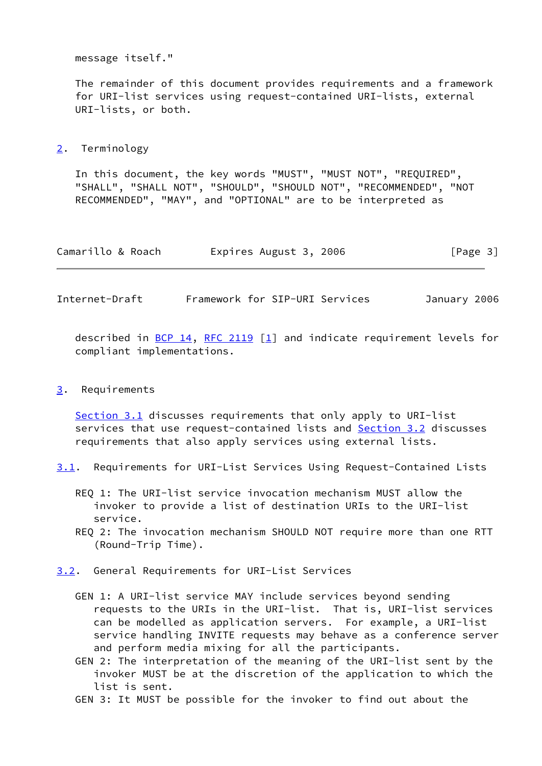message itself."

 The remainder of this document provides requirements and a framework for URI-list services using request-contained URI-lists, external URI-lists, or both.

<span id="page-3-0"></span>[2](#page-3-0). Terminology

 In this document, the key words "MUST", "MUST NOT", "REQUIRED", "SHALL", "SHALL NOT", "SHOULD", "SHOULD NOT", "RECOMMENDED", "NOT RECOMMENDED", "MAY", and "OPTIONAL" are to be interpreted as

| Camarillo & Roach | Expires August 3, 2006 | [Page 3] |
|-------------------|------------------------|----------|
|-------------------|------------------------|----------|

<span id="page-3-2"></span>Internet-Draft Framework for SIP-URI Services January 2006

described in  $\underline{BCP}$  14, [RFC 2119](https://datatracker.ietf.org/doc/pdf/rfc2119) [[1\]](#page-9-8) and indicate requirement levels for compliant implementations.

#### <span id="page-3-1"></span>[3](#page-3-1). Requirements

[Section 3.1](#page-3-4) discusses requirements that only apply to URI-list services that use request-contained lists and [Section 3.2](#page-3-3) discusses requirements that also apply services using external lists.

- <span id="page-3-4"></span>[3.1](#page-3-4). Requirements for URI-List Services Using Request-Contained Lists
	- REQ 1: The URI-list service invocation mechanism MUST allow the invoker to provide a list of destination URIs to the URI-list service.
	- REQ 2: The invocation mechanism SHOULD NOT require more than one RTT (Round-Trip Time).
- <span id="page-3-3"></span>[3.2](#page-3-3). General Requirements for URI-List Services
	- GEN 1: A URI-list service MAY include services beyond sending requests to the URIs in the URI-list. That is, URI-list services can be modelled as application servers. For example, a URI-list service handling INVITE requests may behave as a conference server and perform media mixing for all the participants.
	- GEN 2: The interpretation of the meaning of the URI-list sent by the invoker MUST be at the discretion of the application to which the list is sent.
	- GEN 3: It MUST be possible for the invoker to find out about the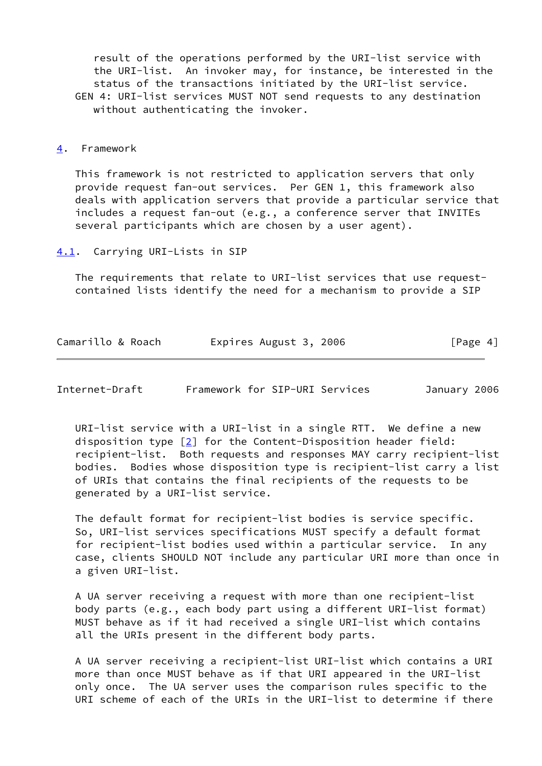result of the operations performed by the URI-list service with the URI-list. An invoker may, for instance, be interested in the status of the transactions initiated by the URI-list service. GEN 4: URI-list services MUST NOT send requests to any destination without authenticating the invoker.

#### <span id="page-4-0"></span>[4](#page-4-0). Framework

 This framework is not restricted to application servers that only provide request fan-out services. Per GEN 1, this framework also deals with application servers that provide a particular service that includes a request fan-out (e.g., a conference server that INVITEs several participants which are chosen by a user agent).

<span id="page-4-1"></span>[4.1](#page-4-1). Carrying URI-Lists in SIP

 The requirements that relate to URI-list services that use request contained lists identify the need for a mechanism to provide a SIP

| Camarillo & Roach | Expires August 3, 2006 | [Page 4] |
|-------------------|------------------------|----------|
|-------------------|------------------------|----------|

<span id="page-4-2"></span>

| Internet-Draft |  |  | Framework for SIP-URI Services | January 2006 |  |
|----------------|--|--|--------------------------------|--------------|--|
|----------------|--|--|--------------------------------|--------------|--|

 URI-list service with a URI-list in a single RTT. We define a new disposition type [\[2\]](#page-9-9) for the Content-Disposition header field: recipient-list. Both requests and responses MAY carry recipient-list bodies. Bodies whose disposition type is recipient-list carry a list of URIs that contains the final recipients of the requests to be generated by a URI-list service.

 The default format for recipient-list bodies is service specific. So, URI-list services specifications MUST specify a default format for recipient-list bodies used within a particular service. In any case, clients SHOULD NOT include any particular URI more than once in a given URI-list.

 A UA server receiving a request with more than one recipient-list body parts (e.g., each body part using a different URI-list format) MUST behave as if it had received a single URI-list which contains all the URIs present in the different body parts.

 A UA server receiving a recipient-list URI-list which contains a URI more than once MUST behave as if that URI appeared in the URI-list only once. The UA server uses the comparison rules specific to the URI scheme of each of the URIs in the URI-list to determine if there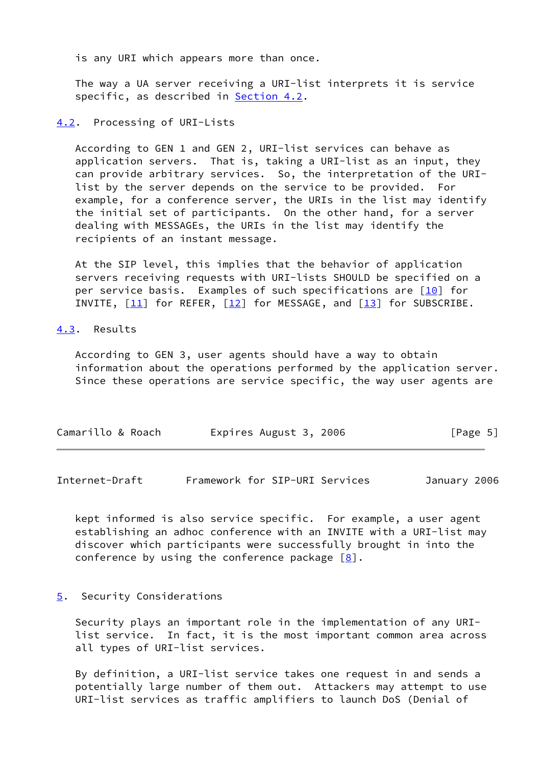is any URI which appears more than once.

 The way a UA server receiving a URI-list interprets it is service specific, as described in [Section 4.2](#page-5-0).

<span id="page-5-0"></span>[4.2](#page-5-0). Processing of URI-Lists

 According to GEN 1 and GEN 2, URI-list services can behave as application servers. That is, taking a URI-list as an input, they can provide arbitrary services. So, the interpretation of the URI list by the server depends on the service to be provided. For example, for a conference server, the URIs in the list may identify the initial set of participants. On the other hand, for a server dealing with MESSAGEs, the URIs in the list may identify the recipients of an instant message.

 At the SIP level, this implies that the behavior of application servers receiving requests with URI-lists SHOULD be specified on a per service basis. Examples of such specifications are  $[10]$  for INVITE,  $[11]$  for REFER,  $[12]$  for MESSAGE, and  $[13]$  $[13]$  for SUBSCRIBE.

<span id="page-5-1"></span>[4.3](#page-5-1). Results

 According to GEN 3, user agents should have a way to obtain information about the operations performed by the application server. Since these operations are service specific, the way user agents are

| Camarillo & Roach | Expires August 3, 2006 | [Page 5] |
|-------------------|------------------------|----------|
|                   |                        |          |

<span id="page-5-3"></span>Internet-Draft Framework for SIP-URI Services January 2006

 kept informed is also service specific. For example, a user agent establishing an adhoc conference with an INVITE with a URI-list may discover which participants were successfully brought in into the conference by using the conference package  $[8]$  $[8]$ .

#### <span id="page-5-2"></span>[5](#page-5-2). Security Considerations

 Security plays an important role in the implementation of any URI list service. In fact, it is the most important common area across all types of URI-list services.

 By definition, a URI-list service takes one request in and sends a potentially large number of them out. Attackers may attempt to use URI-list services as traffic amplifiers to launch DoS (Denial of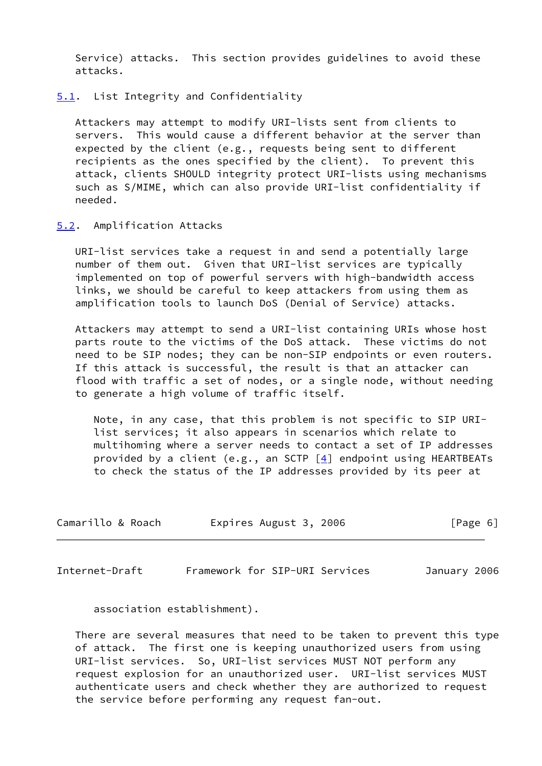Service) attacks. This section provides guidelines to avoid these attacks.

<span id="page-6-0"></span>[5.1](#page-6-0). List Integrity and Confidentiality

 Attackers may attempt to modify URI-lists sent from clients to servers. This would cause a different behavior at the server than expected by the client (e.g., requests being sent to different recipients as the ones specified by the client). To prevent this attack, clients SHOULD integrity protect URI-lists using mechanisms such as S/MIME, which can also provide URI-list confidentiality if needed.

<span id="page-6-1"></span>[5.2](#page-6-1). Amplification Attacks

 URI-list services take a request in and send a potentially large number of them out. Given that URI-list services are typically implemented on top of powerful servers with high-bandwidth access links, we should be careful to keep attackers from using them as amplification tools to launch DoS (Denial of Service) attacks.

 Attackers may attempt to send a URI-list containing URIs whose host parts route to the victims of the DoS attack. These victims do not need to be SIP nodes; they can be non-SIP endpoints or even routers. If this attack is successful, the result is that an attacker can flood with traffic a set of nodes, or a single node, without needing to generate a high volume of traffic itself.

 Note, in any case, that this problem is not specific to SIP URI list services; it also appears in scenarios which relate to multihoming where a server needs to contact a set of IP addresses provided by a client (e.g., an SCTP  $[4]$  $[4]$  endpoint using HEARTBEATs to check the status of the IP addresses provided by its peer at

| Camarillo & Roach | Expires August 3, 2006 | [Page 6] |
|-------------------|------------------------|----------|
|-------------------|------------------------|----------|

Internet-Draft Framework for SIP-URI Services January 2006

association establishment).

 There are several measures that need to be taken to prevent this type of attack. The first one is keeping unauthorized users from using URI-list services. So, URI-list services MUST NOT perform any request explosion for an unauthorized user. URI-list services MUST authenticate users and check whether they are authorized to request the service before performing any request fan-out.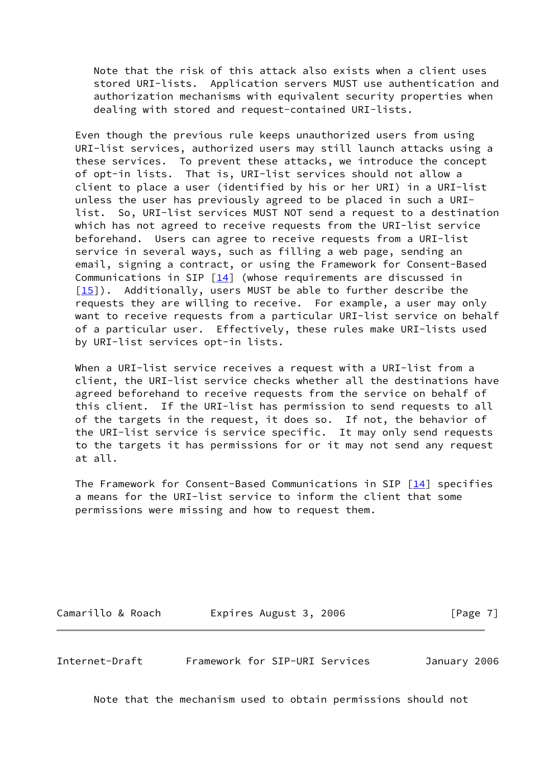Note that the risk of this attack also exists when a client uses stored URI-lists. Application servers MUST use authentication and authorization mechanisms with equivalent security properties when dealing with stored and request-contained URI-lists.

 Even though the previous rule keeps unauthorized users from using URI-list services, authorized users may still launch attacks using a these services. To prevent these attacks, we introduce the concept of opt-in lists. That is, URI-list services should not allow a client to place a user (identified by his or her URI) in a URI-list unless the user has previously agreed to be placed in such a URI list. So, URI-list services MUST NOT send a request to a destination which has not agreed to receive requests from the URI-list service beforehand. Users can agree to receive requests from a URI-list service in several ways, such as filling a web page, sending an email, signing a contract, or using the Framework for Consent-Based Communications in SIP  $\lceil 14 \rceil$  (whose requirements are discussed in [\[15\]](#page-10-4)). Additionally, users MUST be able to further describe the requests they are willing to receive. For example, a user may only want to receive requests from a particular URI-list service on behalf of a particular user. Effectively, these rules make URI-lists used by URI-list services opt-in lists.

 When a URI-list service receives a request with a URI-list from a client, the URI-list service checks whether all the destinations have agreed beforehand to receive requests from the service on behalf of this client. If the URI-list has permission to send requests to all of the targets in the request, it does so. If not, the behavior of the URI-list service is service specific. It may only send requests to the targets it has permissions for or it may not send any request at all.

The Framework for Consent-Based Communications in SIP  $[14]$  $[14]$  specifies a means for the URI-list service to inform the client that some permissions were missing and how to request them.

Camarillo & Roach **Expires August 3, 2006** [Page 7]

<span id="page-7-0"></span>Internet-Draft Framework for SIP-URI Services January 2006

Note that the mechanism used to obtain permissions should not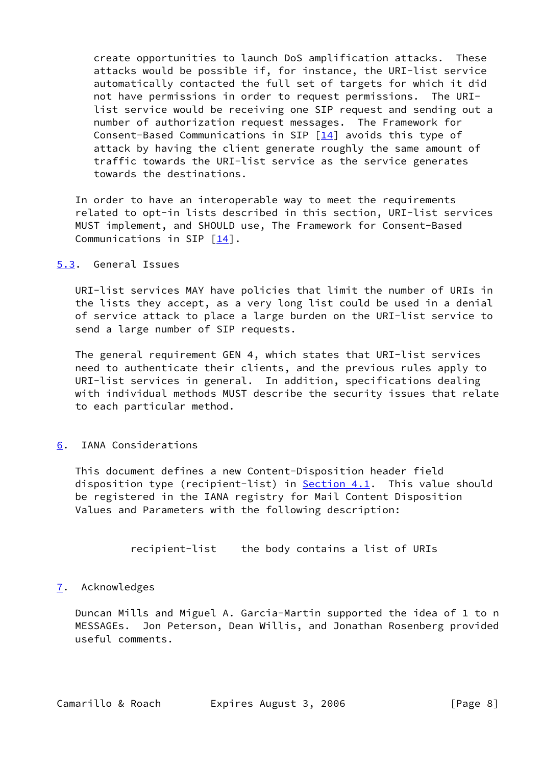create opportunities to launch DoS amplification attacks. These attacks would be possible if, for instance, the URI-list service automatically contacted the full set of targets for which it did not have permissions in order to request permissions. The URI list service would be receiving one SIP request and sending out a number of authorization request messages. The Framework for Consent-Based Communications in SIP [\[14](#page-10-3)] avoids this type of attack by having the client generate roughly the same amount of traffic towards the URI-list service as the service generates towards the destinations.

 In order to have an interoperable way to meet the requirements related to opt-in lists described in this section, URI-list services MUST implement, and SHOULD use, The Framework for Consent-Based Communications in SIP  $[14]$  $[14]$ .

# <span id="page-8-0"></span>[5.3](#page-8-0). General Issues

 URI-list services MAY have policies that limit the number of URIs in the lists they accept, as a very long list could be used in a denial of service attack to place a large burden on the URI-list service to send a large number of SIP requests.

 The general requirement GEN 4, which states that URI-list services need to authenticate their clients, and the previous rules apply to URI-list services in general. In addition, specifications dealing with individual methods MUST describe the security issues that relate to each particular method.

## <span id="page-8-1"></span>[6](#page-8-1). IANA Considerations

 This document defines a new Content-Disposition header field disposition type (recipient-list) in [Section 4.1](#page-4-1). This value should be registered in the IANA registry for Mail Content Disposition Values and Parameters with the following description:

recipient-list the body contains a list of URIs

## <span id="page-8-2"></span>[7](#page-8-2). Acknowledges

 Duncan Mills and Miguel A. Garcia-Martin supported the idea of 1 to n MESSAGEs. Jon Peterson, Dean Willis, and Jonathan Rosenberg provided useful comments.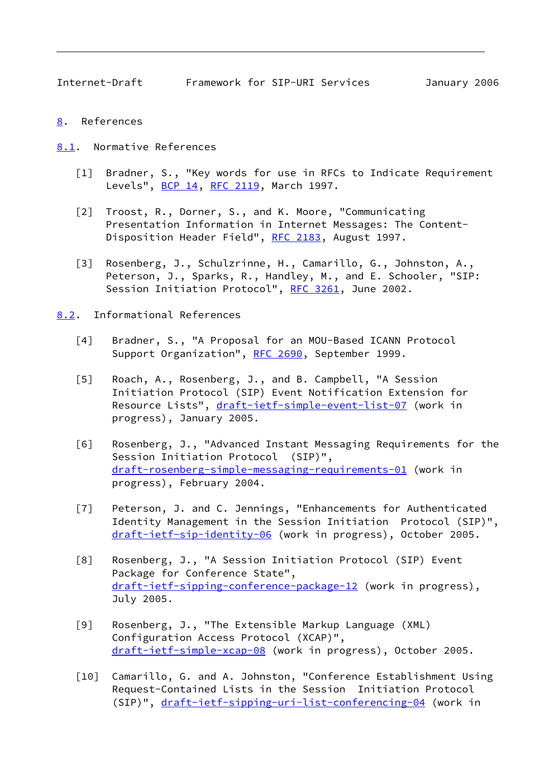- <span id="page-9-1"></span><span id="page-9-0"></span>[8](#page-9-0). References
- <span id="page-9-9"></span><span id="page-9-8"></span><span id="page-9-2"></span>[8.1](#page-9-2). Normative References
	- [1] Bradner, S., "Key words for use in RFCs to Indicate Requirement Levels", [BCP 14](https://datatracker.ietf.org/doc/pdf/bcp14), [RFC 2119](https://datatracker.ietf.org/doc/pdf/rfc2119), March 1997.
	- [2] Troost, R., Dorner, S., and K. Moore, "Communicating Presentation Information in Internet Messages: The Content- Disposition Header Field", [RFC 2183](https://datatracker.ietf.org/doc/pdf/rfc2183), August 1997.
	- [3] Rosenberg, J., Schulzrinne, H., Camarillo, G., Johnston, A., Peterson, J., Sparks, R., Handley, M., and E. Schooler, "SIP: Session Initiation Protocol", [RFC 3261,](https://datatracker.ietf.org/doc/pdf/rfc3261) June 2002.
- <span id="page-9-12"></span><span id="page-9-11"></span><span id="page-9-10"></span><span id="page-9-7"></span><span id="page-9-6"></span><span id="page-9-5"></span><span id="page-9-4"></span><span id="page-9-3"></span>[8.2](#page-9-3). Informational References
	- [4] Bradner, S., "A Proposal for an MOU-Based ICANN Protocol Support Organization", [RFC 2690](https://datatracker.ietf.org/doc/pdf/rfc2690), September 1999.
	- [5] Roach, A., Rosenberg, J., and B. Campbell, "A Session Initiation Protocol (SIP) Event Notification Extension for Resource Lists", [draft-ietf-simple-event-list-07](https://datatracker.ietf.org/doc/pdf/draft-ietf-simple-event-list-07) (work in progress), January 2005.
	- [6] Rosenberg, J., "Advanced Instant Messaging Requirements for the Session Initiation Protocol (SIP)", [draft-rosenberg-simple-messaging-requirements-01](https://datatracker.ietf.org/doc/pdf/draft-rosenberg-simple-messaging-requirements-01) (work in progress), February 2004.
	- [7] Peterson, J. and C. Jennings, "Enhancements for Authenticated Identity Management in the Session Initiation Protocol (SIP)", [draft-ietf-sip-identity-06](https://datatracker.ietf.org/doc/pdf/draft-ietf-sip-identity-06) (work in progress), October 2005.
	- [8] Rosenberg, J., "A Session Initiation Protocol (SIP) Event Package for Conference State", [draft-ietf-sipping-conference-package-12](https://datatracker.ietf.org/doc/pdf/draft-ietf-sipping-conference-package-12) (work in progress), July 2005.
	- [9] Rosenberg, J., "The Extensible Markup Language (XML) Configuration Access Protocol (XCAP)", [draft-ietf-simple-xcap-08](https://datatracker.ietf.org/doc/pdf/draft-ietf-simple-xcap-08) (work in progress), October 2005.
	- [10] Camarillo, G. and A. Johnston, "Conference Establishment Using Request-Contained Lists in the Session Initiation Protocol (SIP)", [draft-ietf-sipping-uri-list-conferencing-04](https://datatracker.ietf.org/doc/pdf/draft-ietf-sipping-uri-list-conferencing-04) (work in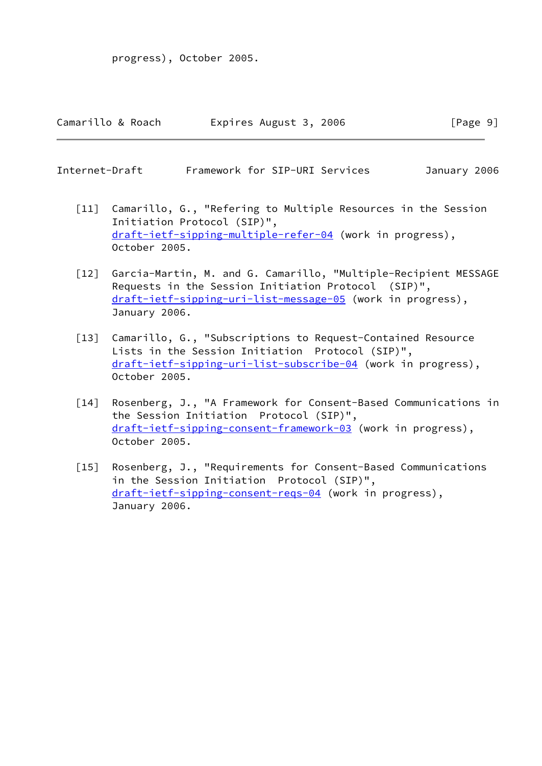| Camarillo & Roach | Expires August 3, 2006 | [Page 9] |
|-------------------|------------------------|----------|
|-------------------|------------------------|----------|

|  | Internet-Draft |  |  | Framework for SIP-URI Services | January 2006 |  |
|--|----------------|--|--|--------------------------------|--------------|--|
|--|----------------|--|--|--------------------------------|--------------|--|

- <span id="page-10-0"></span> [11] Camarillo, G., "Refering to Multiple Resources in the Session Initiation Protocol (SIP)", [draft-ietf-sipping-multiple-refer-04](https://datatracker.ietf.org/doc/pdf/draft-ietf-sipping-multiple-refer-04) (work in progress), October 2005.
- <span id="page-10-1"></span> [12] Garcia-Martin, M. and G. Camarillo, "Multiple-Recipient MESSAGE Requests in the Session Initiation Protocol (SIP)", [draft-ietf-sipping-uri-list-message-05](https://datatracker.ietf.org/doc/pdf/draft-ietf-sipping-uri-list-message-05) (work in progress), January 2006.
- <span id="page-10-2"></span> [13] Camarillo, G., "Subscriptions to Request-Contained Resource Lists in the Session Initiation Protocol (SIP)", [draft-ietf-sipping-uri-list-subscribe-04](https://datatracker.ietf.org/doc/pdf/draft-ietf-sipping-uri-list-subscribe-04) (work in progress), October 2005.
- <span id="page-10-3"></span> [14] Rosenberg, J., "A Framework for Consent-Based Communications in the Session Initiation Protocol (SIP)", [draft-ietf-sipping-consent-framework-03](https://datatracker.ietf.org/doc/pdf/draft-ietf-sipping-consent-framework-03) (work in progress), October 2005.
- <span id="page-10-4"></span> [15] Rosenberg, J., "Requirements for Consent-Based Communications in the Session Initiation Protocol (SIP)", [draft-ietf-sipping-consent-reqs-04](https://datatracker.ietf.org/doc/pdf/draft-ietf-sipping-consent-reqs-04) (work in progress), January 2006.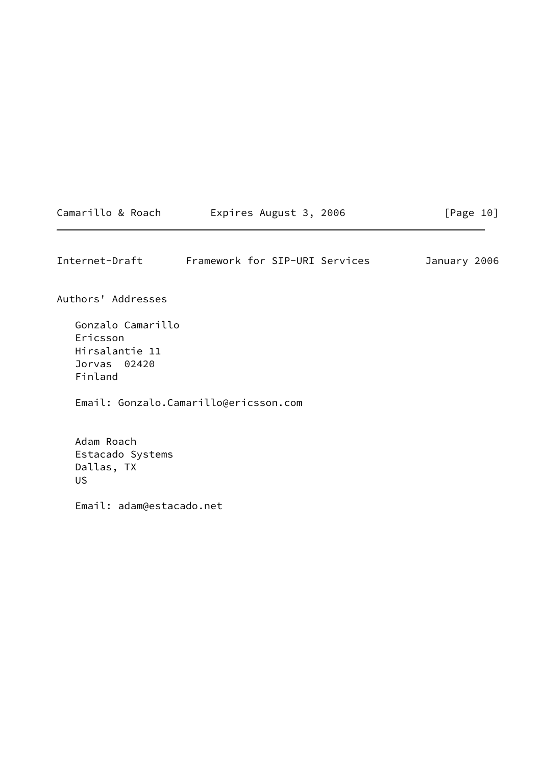| Camarillo & Roach | Expires August 3, 2006 | [Page 10] |
|-------------------|------------------------|-----------|
|-------------------|------------------------|-----------|

<span id="page-11-0"></span>Internet-Draft Framework for SIP-URI Services January 2006

Authors' Addresses

 Gonzalo Camarillo Ericsson Hirsalantie 11 Jorvas 02420 Finland

Email: Gonzalo.Camarillo@ericsson.com

 Adam Roach Estacado Systems Dallas, TX US

Email: adam@estacado.net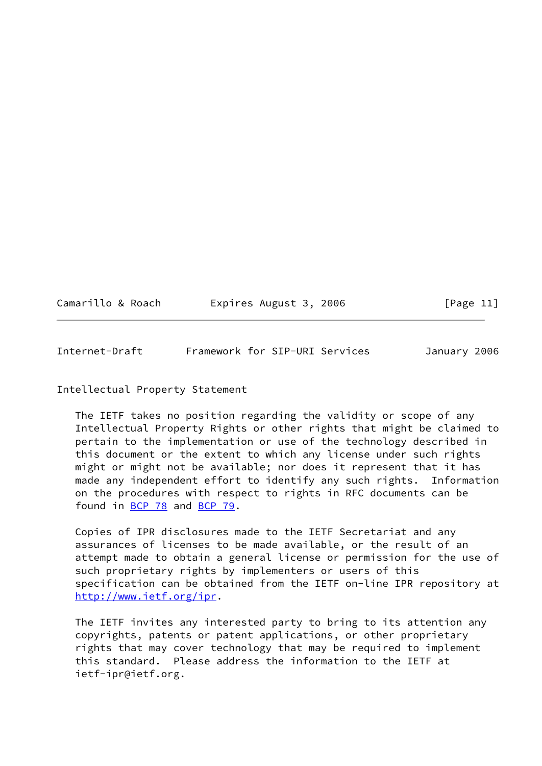Camarillo & Roach expires August 3, 2006 [Page 11]

<span id="page-12-0"></span>Internet-Draft Framework for SIP-URI Services January 2006

## Intellectual Property Statement

 The IETF takes no position regarding the validity or scope of any Intellectual Property Rights or other rights that might be claimed to pertain to the implementation or use of the technology described in this document or the extent to which any license under such rights might or might not be available; nor does it represent that it has made any independent effort to identify any such rights. Information on the procedures with respect to rights in RFC documents can be found in [BCP 78](https://datatracker.ietf.org/doc/pdf/bcp78) and [BCP 79](https://datatracker.ietf.org/doc/pdf/bcp79).

 Copies of IPR disclosures made to the IETF Secretariat and any assurances of licenses to be made available, or the result of an attempt made to obtain a general license or permission for the use of such proprietary rights by implementers or users of this specification can be obtained from the IETF on-line IPR repository at <http://www.ietf.org/ipr>.

 The IETF invites any interested party to bring to its attention any copyrights, patents or patent applications, or other proprietary rights that may cover technology that may be required to implement this standard. Please address the information to the IETF at ietf-ipr@ietf.org.